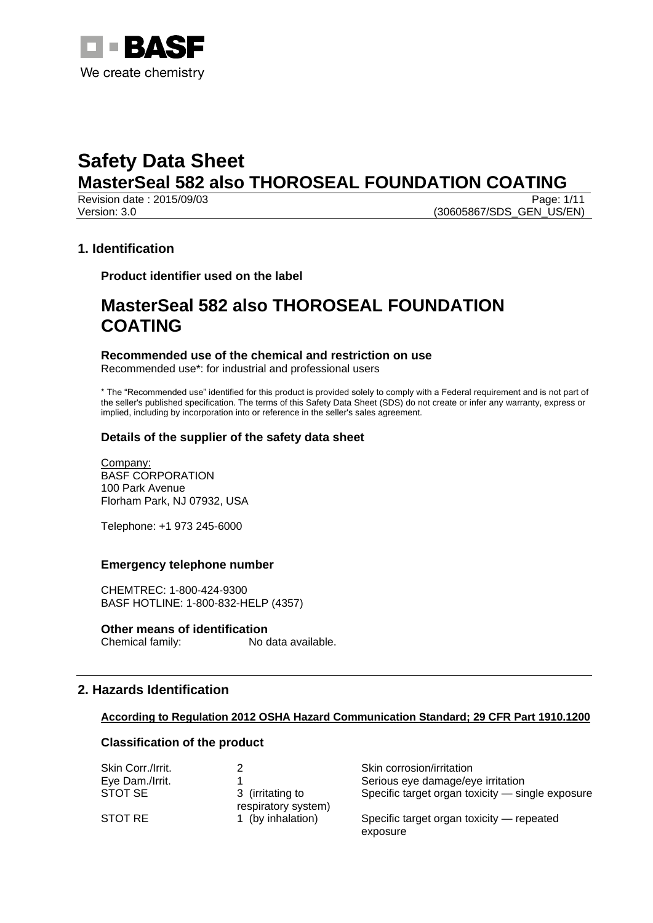

Revision date : 2015/09/03 Version: 3.0 (30605867/SDS\_GEN\_US/EN)

# **1. Identification**

**Product identifier used on the label**

# **MasterSeal 582 also THOROSEAL FOUNDATION COATING**

**Recommended use of the chemical and restriction on use** Recommended use\*: for industrial and professional users

\* The "Recommended use" identified for this product is provided solely to comply with a Federal requirement and is not part of the seller's published specification. The terms of this Safety Data Sheet (SDS) do not create or infer any warranty, express or implied, including by incorporation into or reference in the seller's sales agreement.

# **Details of the supplier of the safety data sheet**

Company: BASF CORPORATION 100 Park Avenue Florham Park, NJ 07932, USA

Telephone: +1 973 245-6000

# **Emergency telephone number**

CHEMTREC: 1-800-424-9300 BASF HOTLINE: 1-800-832-HELP (4357)

#### **Other means of identification**

Chemical family: No data available.

# **2. Hazards Identification**

# **According to Regulation 2012 OSHA Hazard Communication Standard; 29 CFR Part 1910.1200**

# **Classification of the product**

| Skin Corr./Irrit. |                                         | Skin corrosion/irritation                             |
|-------------------|-----------------------------------------|-------------------------------------------------------|
| Eye Dam./Irrit.   |                                         | Serious eye damage/eye irritation                     |
| STOT SE           | 3 (irritating to<br>respiratory system) | Specific target organ toxicity - single exposure      |
| STOT RE           | 1 (by inhalation)                       | Specific target organ toxicity — repeated<br>exposure |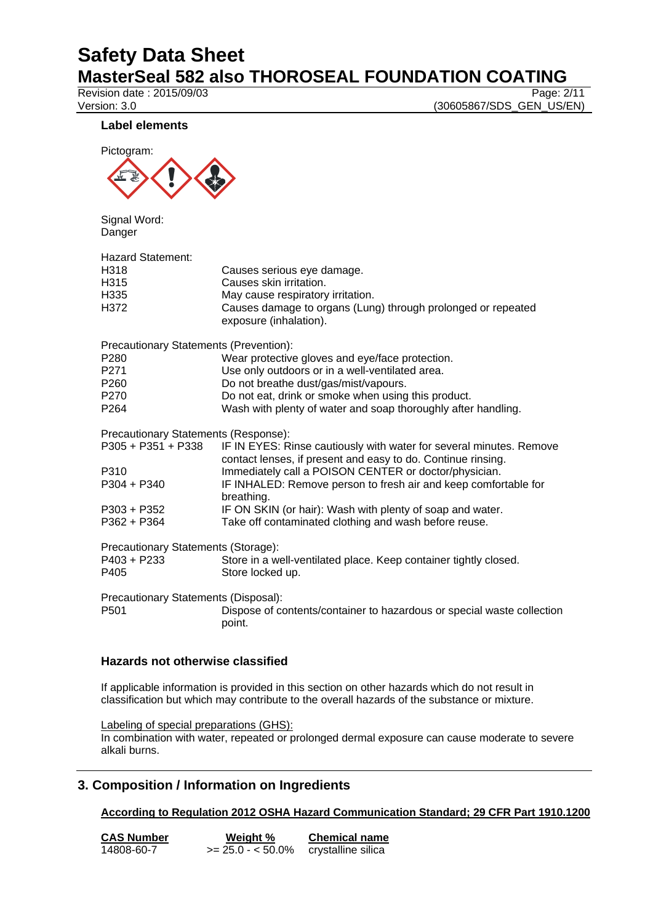Revision date : 2015/09/03

Version: 3.0 (30605867/SDS\_GEN\_US/EN)

#### **Label elements**



Signal Word: Danger

| Hazard Statement:<br>H318<br>H315<br>H335<br>H372 | Causes serious eye damage.<br>Causes skin irritation.<br>May cause respiratory irritation.<br>Causes damage to organs (Lung) through prolonged or repeated<br>exposure (inhalation). |
|---------------------------------------------------|--------------------------------------------------------------------------------------------------------------------------------------------------------------------------------------|
| <b>Precautionary Statements (Prevention):</b>     |                                                                                                                                                                                      |
| P280                                              | Wear protective gloves and eye/face protection.                                                                                                                                      |
| P271                                              | Use only outdoors or in a well-ventilated area.                                                                                                                                      |
| P260                                              | Do not breathe dust/gas/mist/vapours.                                                                                                                                                |
| P270                                              | Do not eat, drink or smoke when using this product.                                                                                                                                  |
| P264                                              | Wash with plenty of water and soap thoroughly after handling.                                                                                                                        |
| Precautionary Statements (Response):              |                                                                                                                                                                                      |
| P305 + P351 + P338                                | IF IN EYES: Rinse cautiously with water for several minutes. Remove<br>contact lenses, if present and easy to do. Continue rinsing.                                                  |
| P310                                              | Immediately call a POISON CENTER or doctor/physician.                                                                                                                                |
| P304 + P340                                       | IF INHALED: Remove person to fresh air and keep comfortable for<br>breathing.                                                                                                        |
| P303 + P352                                       | IF ON SKIN (or hair): Wash with plenty of soap and water.                                                                                                                            |
| P362 + P364                                       | Take off contaminated clothing and wash before reuse.                                                                                                                                |
| Precautionary Statements (Storage):               |                                                                                                                                                                                      |
| P403 + P233<br>P405                               | Store in a well-ventilated place. Keep container tightly closed.<br>Store locked up.                                                                                                 |
| Precautionary Statements (Disposal):              |                                                                                                                                                                                      |
| P501                                              | Dispose of contents/container to hazardous or special waste collection<br>point.                                                                                                     |
|                                                   |                                                                                                                                                                                      |

# **Hazards not otherwise classified**

If applicable information is provided in this section on other hazards which do not result in classification but which may contribute to the overall hazards of the substance or mixture.

Labeling of special preparations (GHS):

In combination with water, repeated or prolonged dermal exposure can cause moderate to severe alkali burns.

# **3. Composition / Information on Ingredients**

**According to Regulation 2012 OSHA Hazard Communication Standard; 29 CFR Part 1910.1200**

| <b>CAS Number</b> | Weight %           | <b>Chemical name</b> |
|-------------------|--------------------|----------------------|
| 14808-60-7        | $>= 25.0 - 50.0\%$ | crystalline silica   |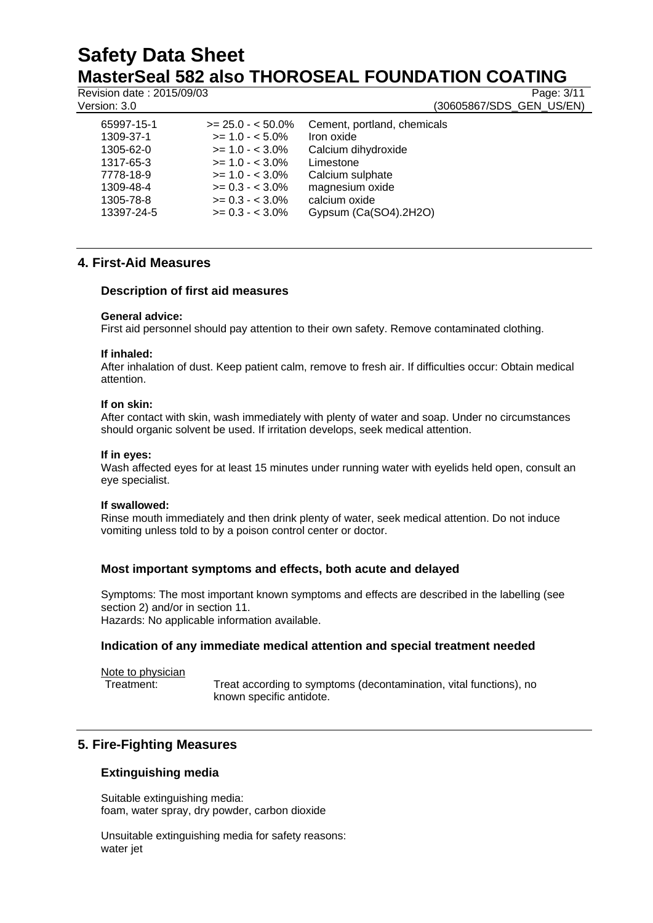Revision date : 2015/09/03 Page: 3/11

Version: 3.0 (30605867/SDS\_GEN\_US/EN)

| 65997-15-1 | $>= 25.0 - 50.0\%$ | Cement, portland, chemicals |
|------------|--------------------|-----------------------------|
| 1309-37-1  | $>= 1.0 - 5.0\%$   | Iron oxide                  |
| 1305-62-0  | $>= 1.0 - < 3.0\%$ | Calcium dihydroxide         |
| 1317-65-3  | $>= 1.0 - < 3.0\%$ | Limestone                   |
| 7778-18-9  | $>= 1.0 - < 3.0\%$ | Calcium sulphate            |
| 1309-48-4  | $>= 0.3 - < 3.0\%$ | magnesium oxide             |
| 1305-78-8  | $>= 0.3 - 3.0\%$   | calcium oxide               |
| 13397-24-5 | $>= 0.3 - 3.0\%$   | Gypsum (Ca(SO4).2H2O)       |
|            |                    |                             |

# **4. First-Aid Measures**

# **Description of first aid measures**

#### **General advice:**

First aid personnel should pay attention to their own safety. Remove contaminated clothing.

#### **If inhaled:**

After inhalation of dust. Keep patient calm, remove to fresh air. If difficulties occur: Obtain medical attention.

#### **If on skin:**

After contact with skin, wash immediately with plenty of water and soap. Under no circumstances should organic solvent be used. If irritation develops, seek medical attention.

#### **If in eyes:**

Wash affected eyes for at least 15 minutes under running water with eyelids held open, consult an eye specialist.

#### **If swallowed:**

Rinse mouth immediately and then drink plenty of water, seek medical attention. Do not induce vomiting unless told to by a poison control center or doctor.

# **Most important symptoms and effects, both acute and delayed**

Symptoms: The most important known symptoms and effects are described in the labelling (see section 2) and/or in section 11. Hazards: No applicable information available.

# **Indication of any immediate medical attention and special treatment needed**

Note to physician

Treatment: Treat according to symptoms (decontamination, vital functions), no known specific antidote.

# **5. Fire-Fighting Measures**

# **Extinguishing media**

Suitable extinguishing media: foam, water spray, dry powder, carbon dioxide

Unsuitable extinguishing media for safety reasons: water jet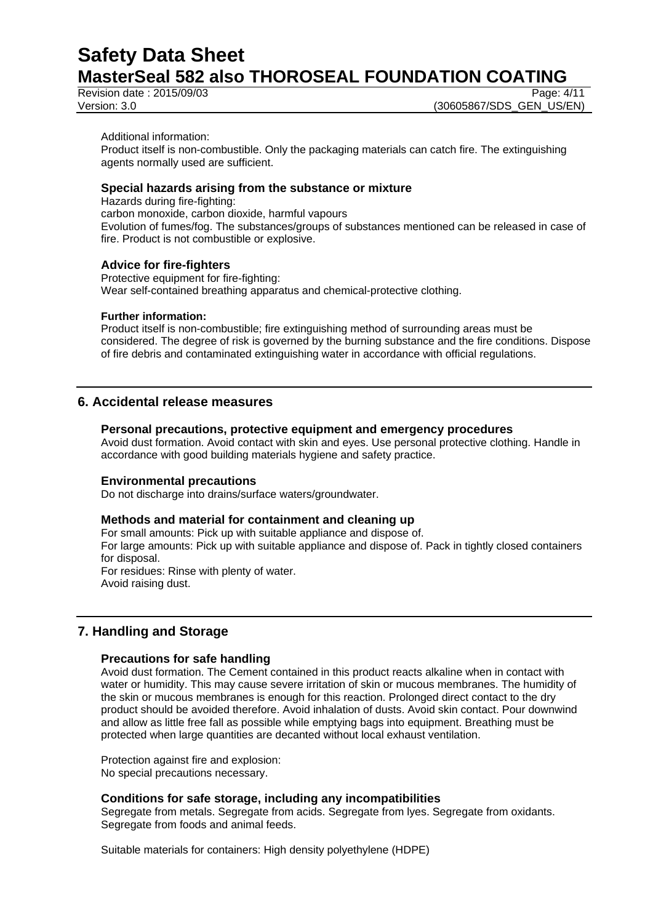Revision date : 2015/09/03 Page: 4/11<br>Version: 3.0 (30605867/SDS\_GEN\_US/EN)

(30605867/SDS\_GEN\_US/EN)

Additional information:

Product itself is non-combustible. Only the packaging materials can catch fire. The extinguishing agents normally used are sufficient.

# **Special hazards arising from the substance or mixture**

Hazards during fire-fighting: carbon monoxide, carbon dioxide, harmful vapours Evolution of fumes/fog. The substances/groups of substances mentioned can be released in case of fire. Product is not combustible or explosive.

#### **Advice for fire-fighters**

Protective equipment for fire-fighting: Wear self-contained breathing apparatus and chemical-protective clothing.

#### **Further information:**

Product itself is non-combustible; fire extinguishing method of surrounding areas must be considered. The degree of risk is governed by the burning substance and the fire conditions. Dispose of fire debris and contaminated extinguishing water in accordance with official regulations.

# **6. Accidental release measures**

#### **Personal precautions, protective equipment and emergency procedures**

Avoid dust formation. Avoid contact with skin and eyes. Use personal protective clothing. Handle in accordance with good building materials hygiene and safety practice.

#### **Environmental precautions**

Do not discharge into drains/surface waters/groundwater.

#### **Methods and material for containment and cleaning up**

For small amounts: Pick up with suitable appliance and dispose of.

For large amounts: Pick up with suitable appliance and dispose of. Pack in tightly closed containers for disposal. For residues: Rinse with plenty of water.

Avoid raising dust.

# **7. Handling and Storage**

#### **Precautions for safe handling**

Avoid dust formation. The Cement contained in this product reacts alkaline when in contact with water or humidity. This may cause severe irritation of skin or mucous membranes. The humidity of the skin or mucous membranes is enough for this reaction. Prolonged direct contact to the dry product should be avoided therefore. Avoid inhalation of dusts. Avoid skin contact. Pour downwind and allow as little free fall as possible while emptying bags into equipment. Breathing must be protected when large quantities are decanted without local exhaust ventilation.

Protection against fire and explosion: No special precautions necessary.

# **Conditions for safe storage, including any incompatibilities**

Segregate from metals. Segregate from acids. Segregate from lyes. Segregate from oxidants. Segregate from foods and animal feeds.

Suitable materials for containers: High density polyethylene (HDPE)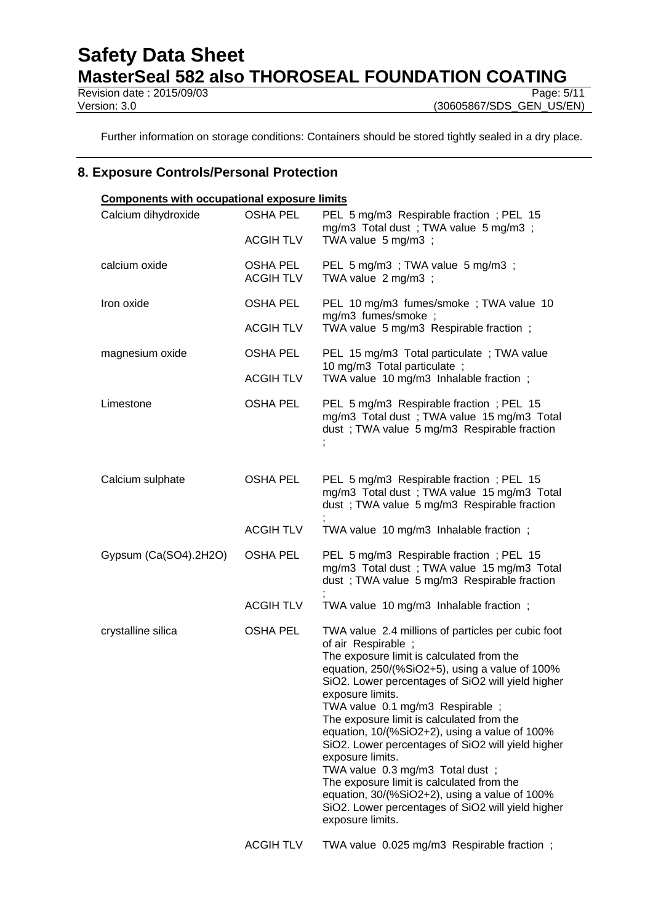# **Safety Data Sheet**

**MasterSeal 582 also THOROSEAL FOUNDATION COATING**<br>Revision date : 2015/09/03

Revision date: 2015/09/03

Version: 3.0 (30605867/SDS\_GEN\_US/EN)

Further information on storage conditions: Containers should be stored tightly sealed in a dry place.

# **8. Exposure Controls/Personal Protection**

| <b>Components with occupational exposure limits</b> |                              |                                                                                                                                                                                                                                                                                                                                                                                                                                                                                                                                                                                                                                                                       |  |
|-----------------------------------------------------|------------------------------|-----------------------------------------------------------------------------------------------------------------------------------------------------------------------------------------------------------------------------------------------------------------------------------------------------------------------------------------------------------------------------------------------------------------------------------------------------------------------------------------------------------------------------------------------------------------------------------------------------------------------------------------------------------------------|--|
| Calcium dihydroxide                                 | <b>OSHA PEL</b>              | PEL 5 mg/m3 Respirable fraction; PEL 15<br>mg/m3 Total dust; TWA value 5 mg/m3;                                                                                                                                                                                                                                                                                                                                                                                                                                                                                                                                                                                       |  |
|                                                     | <b>ACGIH TLV</b>             | TWA value 5 mg/m3 ;                                                                                                                                                                                                                                                                                                                                                                                                                                                                                                                                                                                                                                                   |  |
| calcium oxide                                       | OSHA PEL<br><b>ACGIH TLV</b> | PEL 5 mg/m3 ; TWA value 5 mg/m3 ;<br>TWA value 2 mg/m3 ;                                                                                                                                                                                                                                                                                                                                                                                                                                                                                                                                                                                                              |  |
| Iron oxide                                          | <b>OSHA PEL</b>              | PEL 10 mg/m3 fumes/smoke; TWA value 10<br>mg/m3 fumes/smoke ;                                                                                                                                                                                                                                                                                                                                                                                                                                                                                                                                                                                                         |  |
|                                                     | <b>ACGIH TLV</b>             | TWA value 5 mg/m3 Respirable fraction;                                                                                                                                                                                                                                                                                                                                                                                                                                                                                                                                                                                                                                |  |
| magnesium oxide                                     | <b>OSHA PEL</b>              | PEL 15 mg/m3 Total particulate; TWA value<br>10 mg/m3 Total particulate;                                                                                                                                                                                                                                                                                                                                                                                                                                                                                                                                                                                              |  |
|                                                     | <b>ACGIHTLV</b>              | TWA value 10 mg/m3 Inhalable fraction;                                                                                                                                                                                                                                                                                                                                                                                                                                                                                                                                                                                                                                |  |
| Limestone                                           | <b>OSHA PEL</b>              | PEL 5 mg/m3 Respirable fraction; PEL 15<br>mg/m3 Total dust; TWA value 15 mg/m3 Total<br>dust; TWA value 5 mg/m3 Respirable fraction                                                                                                                                                                                                                                                                                                                                                                                                                                                                                                                                  |  |
| Calcium sulphate                                    | OSHA PEL                     | PEL 5 mg/m3 Respirable fraction; PEL 15<br>mg/m3 Total dust; TWA value 15 mg/m3 Total<br>dust; TWA value 5 mg/m3 Respirable fraction                                                                                                                                                                                                                                                                                                                                                                                                                                                                                                                                  |  |
|                                                     | <b>ACGIHTLV</b>              | TWA value 10 mg/m3 Inhalable fraction;                                                                                                                                                                                                                                                                                                                                                                                                                                                                                                                                                                                                                                |  |
| Gypsum (Ca(SO4).2H2O)                               | <b>OSHA PEL</b>              | PEL 5 mg/m3 Respirable fraction; PEL 15<br>mg/m3 Total dust; TWA value 15 mg/m3 Total<br>dust; TWA value 5 mg/m3 Respirable fraction                                                                                                                                                                                                                                                                                                                                                                                                                                                                                                                                  |  |
|                                                     | <b>ACGIH TLV</b>             | TWA value 10 mg/m3 Inhalable fraction;                                                                                                                                                                                                                                                                                                                                                                                                                                                                                                                                                                                                                                |  |
| crystalline silica                                  | <b>OSHA PEL</b>              | TWA value 2.4 millions of particles per cubic foot<br>of air Respirable;<br>The exposure limit is calculated from the<br>equation, 250/(%SiO2+5), using a value of 100%<br>SiO2. Lower percentages of SiO2 will yield higher<br>exposure limits.<br>TWA value 0.1 mg/m3 Respirable ;<br>The exposure limit is calculated from the<br>equation, 10/(%SiO2+2), using a value of 100%<br>SiO2. Lower percentages of SiO2 will yield higher<br>exposure limits.<br>TWA value 0.3 mg/m3 Total dust;<br>The exposure limit is calculated from the<br>equation, 30/(%SiO2+2), using a value of 100%<br>SiO2. Lower percentages of SiO2 will yield higher<br>exposure limits. |  |
|                                                     | <b>ACGIH TLV</b>             | TWA value 0.025 mg/m3 Respirable fraction;                                                                                                                                                                                                                                                                                                                                                                                                                                                                                                                                                                                                                            |  |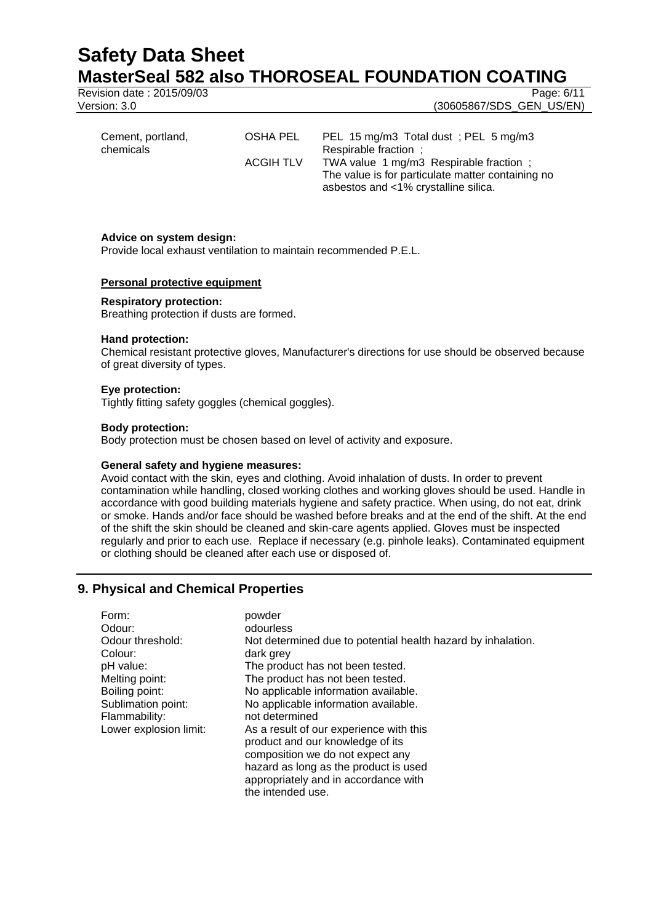Revision date : 2015/09/03 Page: 6/11

Version: 3.0 (30605867/SDS\_GEN\_US/EN)

| Cement, portland,<br>chemicals | OSHA PEL         | PEL 15 mg/m3 Total dust; PEL 5 mg/m3<br>Respirable fraction ;                             |
|--------------------------------|------------------|-------------------------------------------------------------------------------------------|
|                                | <b>ACGIH TLV</b> | TWA value 1 mg/m3 Respirable fraction;                                                    |
|                                |                  | The value is for particulate matter containing no<br>asbestos and <1% crystalline silica. |

#### **Advice on system design:**

Provide local exhaust ventilation to maintain recommended P.E.L.

#### **Personal protective equipment**

#### **Respiratory protection:**

Breathing protection if dusts are formed.

#### **Hand protection:**

Chemical resistant protective gloves, Manufacturer's directions for use should be observed because of great diversity of types.

#### **Eye protection:**

Tightly fitting safety goggles (chemical goggles).

#### **Body protection:**

Body protection must be chosen based on level of activity and exposure.

#### **General safety and hygiene measures:**

Avoid contact with the skin, eyes and clothing. Avoid inhalation of dusts. In order to prevent contamination while handling, closed working clothes and working gloves should be used. Handle in accordance with good building materials hygiene and safety practice. When using, do not eat, drink or smoke. Hands and/or face should be washed before breaks and at the end of the shift. At the end of the shift the skin should be cleaned and skin-care agents applied. Gloves must be inspected regularly and prior to each use. Replace if necessary (e.g. pinhole leaks). Contaminated equipment or clothing should be cleaned after each use or disposed of.

# **9. Physical and Chemical Properties**

| Form:                  | powder                                                       |
|------------------------|--------------------------------------------------------------|
| Odour:                 | odourless                                                    |
| Odour threshold:       | Not determined due to potential health hazard by inhalation. |
| Colour:                | dark grey                                                    |
| pH value:              | The product has not been tested.                             |
| Melting point:         | The product has not been tested.                             |
| Boiling point:         | No applicable information available.                         |
| Sublimation point:     | No applicable information available.                         |
| Flammability:          | not determined                                               |
| Lower explosion limit: | As a result of our experience with this                      |
|                        | product and our knowledge of its                             |
|                        | composition we do not expect any                             |
|                        | hazard as long as the product is used                        |
|                        | appropriately and in accordance with                         |
|                        | the intended use.                                            |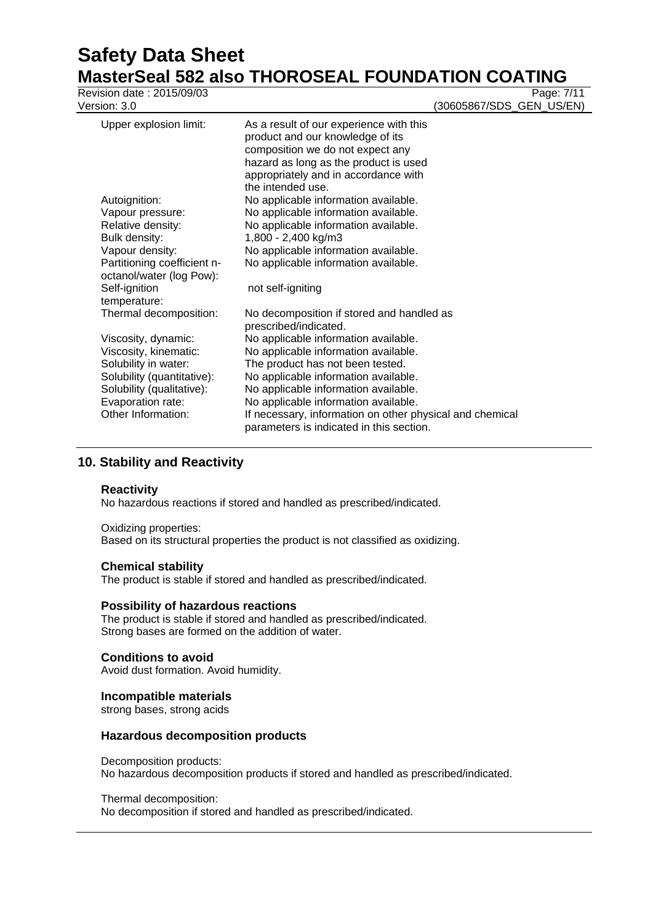# **Safety Data Sheet**

|                                                         | <b>MasterSeal 582 also THOROSEAL FOUNDATION COATING</b>                                                                                                                                          |
|---------------------------------------------------------|--------------------------------------------------------------------------------------------------------------------------------------------------------------------------------------------------|
| Revision date: 2015/09/03<br>Version: 3.0               | Page: 7/11<br>(30605867/SDS_GEN_US/EN)                                                                                                                                                           |
| Upper explosion limit:                                  | As a result of our experience with this<br>product and our knowledge of its<br>composition we do not expect any<br>hazard as long as the product is used<br>appropriately and in accordance with |
| Autoignition:                                           | the intended use.<br>No applicable information available.                                                                                                                                        |
| Vapour pressure:                                        | No applicable information available.                                                                                                                                                             |
| Relative density:                                       | No applicable information available.                                                                                                                                                             |
| Bulk density:                                           | 1,800 - 2,400 kg/m3                                                                                                                                                                              |
| Vapour density:                                         | No applicable information available.                                                                                                                                                             |
| Partitioning coefficient n-<br>octanol/water (log Pow): | No applicable information available.                                                                                                                                                             |
| Self-ignition<br>temperature:                           | not self-igniting                                                                                                                                                                                |
| Thermal decomposition:                                  | No decomposition if stored and handled as<br>prescribed/indicated.                                                                                                                               |
| Viscosity, dynamic:                                     | No applicable information available.                                                                                                                                                             |
| Viscosity, kinematic:                                   | No applicable information available.                                                                                                                                                             |
| Solubility in water:                                    | The product has not been tested.                                                                                                                                                                 |
| Solubility (quantitative):                              | No applicable information available.                                                                                                                                                             |
| Solubility (qualitative):                               | No applicable information available.                                                                                                                                                             |
| Evaporation rate:                                       | No applicable information available.                                                                                                                                                             |
| Other Information:                                      | If necessary, information on other physical and chemical<br>parameters is indicated in this section.                                                                                             |

# **10. Stability and Reactivity**

#### **Reactivity**

No hazardous reactions if stored and handled as prescribed/indicated.

#### Oxidizing properties:

Based on its structural properties the product is not classified as oxidizing.

#### **Chemical stability**

The product is stable if stored and handled as prescribed/indicated.

#### **Possibility of hazardous reactions**

The product is stable if stored and handled as prescribed/indicated. Strong bases are formed on the addition of water.

#### **Conditions to avoid**

Avoid dust formation. Avoid humidity.

#### **Incompatible materials**

strong bases, strong acids

#### **Hazardous decomposition products**

Decomposition products: No hazardous decomposition products if stored and handled as prescribed/indicated.

#### Thermal decomposition:

No decomposition if stored and handled as prescribed/indicated.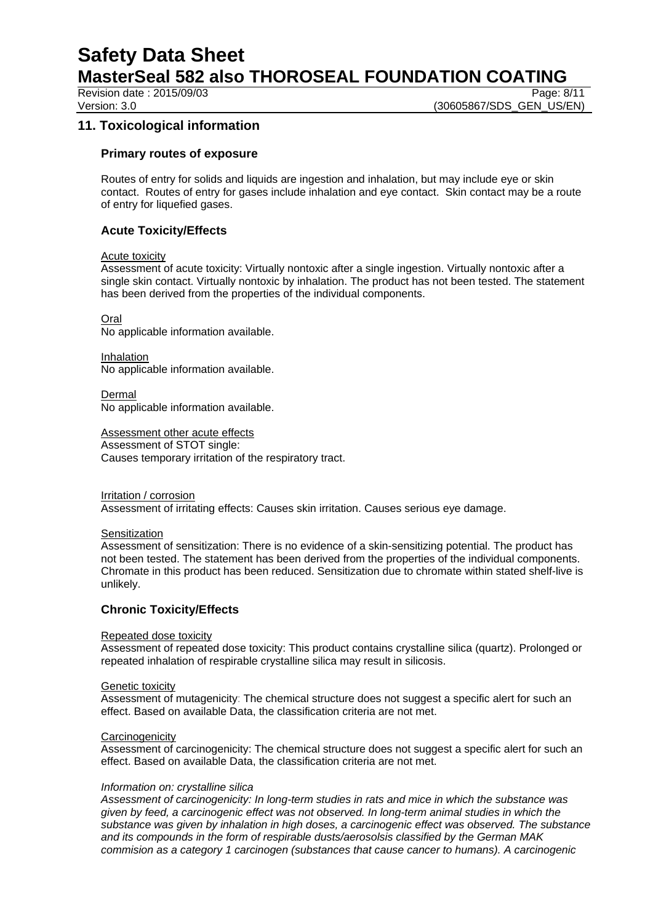**Safety Data Sheet** 

**MasterSeal 582 also THOROSEAL FOUNDATION COATING**

Revision date : 2015/09/03 Page: 8/11

Version: 3.0 **(30605867/SDS\_GEN\_US/EN)** 

# **11. Toxicological information**

#### **Primary routes of exposure**

Routes of entry for solids and liquids are ingestion and inhalation, but may include eye or skin contact. Routes of entry for gases include inhalation and eye contact. Skin contact may be a route of entry for liquefied gases.

# **Acute Toxicity/Effects**

#### Acute toxicity

Assessment of acute toxicity: Virtually nontoxic after a single ingestion. Virtually nontoxic after a single skin contact. Virtually nontoxic by inhalation. The product has not been tested. The statement has been derived from the properties of the individual components.

Oral

No applicable information available.

Inhalation No applicable information available.

Dermal No applicable information available.

Assessment other acute effects Assessment of STOT single: Causes temporary irritation of the respiratory tract.

Irritation / corrosion Assessment of irritating effects: Causes skin irritation. Causes serious eye damage.

#### **Sensitization**

Assessment of sensitization: There is no evidence of a skin-sensitizing potential. The product has not been tested. The statement has been derived from the properties of the individual components. Chromate in this product has been reduced. Sensitization due to chromate within stated shelf-live is unlikely.

# **Chronic Toxicity/Effects**

#### Repeated dose toxicity

Assessment of repeated dose toxicity: This product contains crystalline silica (quartz). Prolonged or repeated inhalation of respirable crystalline silica may result in silicosis.

#### Genetic toxicity

Assessment of mutagenicity: The chemical structure does not suggest a specific alert for such an effect. Based on available Data, the classification criteria are not met.

#### **Carcinogenicity**

Assessment of carcinogenicity: The chemical structure does not suggest a specific alert for such an effect. Based on available Data, the classification criteria are not met.

#### *Information on: crystalline silica*

*Assessment of carcinogenicity: In long-term studies in rats and mice in which the substance was given by feed, a carcinogenic effect was not observed. In long-term animal studies in which the substance was given by inhalation in high doses, a carcinogenic effect was observed. The substance and its compounds in the form of respirable dusts/aerosolsis classified by the German MAK commision as a category 1 carcinogen (substances that cause cancer to humans). A carcinogenic*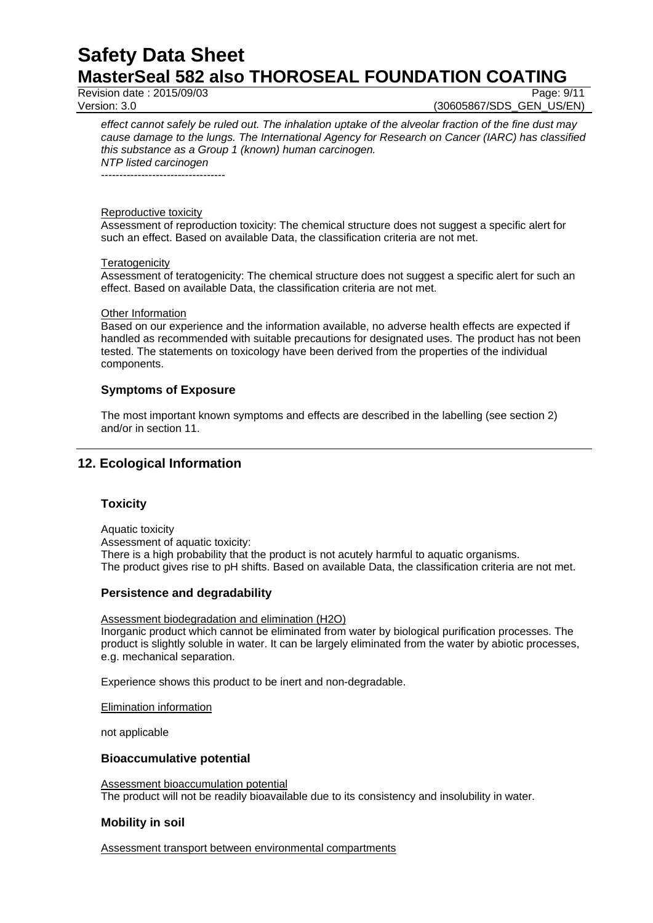Revision date : 2015/09/03 Page: 9/11

Version: 3.0 (30605867/SDS\_GEN\_US/EN)

*effect cannot safely be ruled out. The inhalation uptake of the alveolar fraction of the fine dust may cause damage to the lungs. The International Agency for Research on Cancer (IARC) has classified this substance as a Group 1 (known) human carcinogen. NTP listed carcinogen*

----------------------------------

#### Reproductive toxicity

Assessment of reproduction toxicity: The chemical structure does not suggest a specific alert for such an effect. Based on available Data, the classification criteria are not met.

#### **Teratogenicity**

Assessment of teratogenicity: The chemical structure does not suggest a specific alert for such an effect. Based on available Data, the classification criteria are not met.

#### Other Information

Based on our experience and the information available, no adverse health effects are expected if handled as recommended with suitable precautions for designated uses. The product has not been tested. The statements on toxicology have been derived from the properties of the individual components.

#### **Symptoms of Exposure**

The most important known symptoms and effects are described in the labelling (see section 2) and/or in section 11.

# **12. Ecological Information**

# **Toxicity**

Aquatic toxicity Assessment of aquatic toxicity: There is a high probability that the product is not acutely harmful to aquatic organisms. The product gives rise to pH shifts. Based on available Data, the classification criteria are not met.

#### **Persistence and degradability**

Assessment biodegradation and elimination (H2O) Inorganic product which cannot be eliminated from water by biological purification processes. The product is slightly soluble in water. It can be largely eliminated from the water by abiotic processes, e.g. mechanical separation.

Experience shows this product to be inert and non-degradable.

Elimination information

not applicable

#### **Bioaccumulative potential**

Assessment bioaccumulation potential The product will not be readily bioavailable due to its consistency and insolubility in water.

#### **Mobility in soil**

Assessment transport between environmental compartments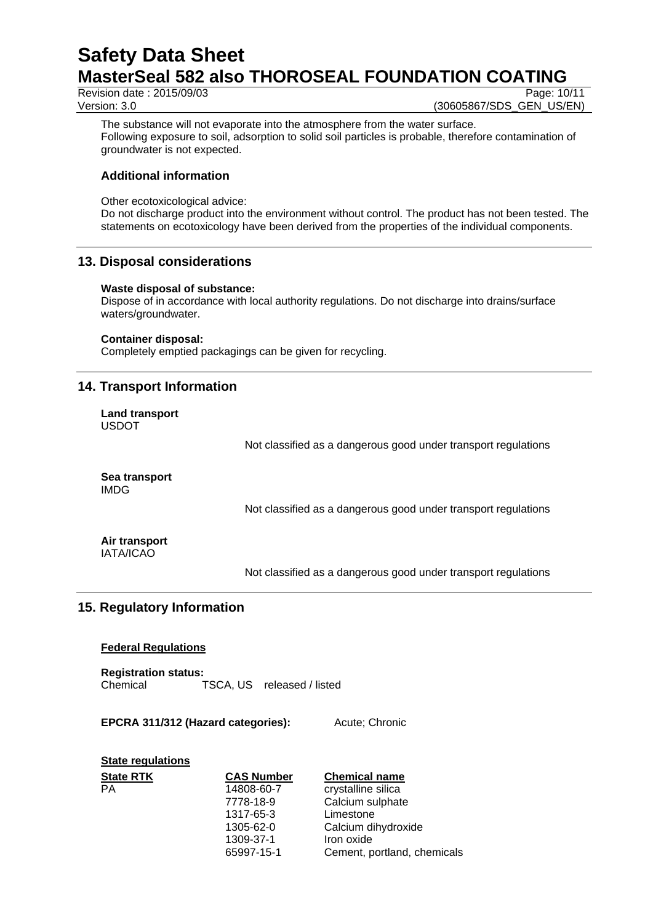Revision date : 2015/09/03 Page: 10/11

Version: 3.0 **(30605867/SDS\_GEN\_US/EN)** 

The substance will not evaporate into the atmosphere from the water surface. Following exposure to soil, adsorption to solid soil particles is probable, therefore contamination of groundwater is not expected.

# **Additional information**

Other ecotoxicological advice:

Do not discharge product into the environment without control. The product has not been tested. The statements on ecotoxicology have been derived from the properties of the individual components.

# **13. Disposal considerations**

#### **Waste disposal of substance:**

Dispose of in accordance with local authority regulations. Do not discharge into drains/surface waters/groundwater.

#### **Container disposal:**

Completely emptied packagings can be given for recycling.

# **14. Transport Information**

**Land transport** USDOT

Not classified as a dangerous good under transport regulations

**Sea transport** IMDG

Not classified as a dangerous good under transport regulations

**Air transport** IATA/ICAO

Not classified as a dangerous good under transport regulations

# **15. Regulatory Information**

# **Federal Regulations**

**Registration status:** Chemical TSCA, US released / listed

#### **EPCRA 311/312 (Hazard categories):** Acute; Chronic

# **State regulations**

| <b>State RTK</b> | <b>CAS Number</b> | <b>Chemical name</b>        |
|------------------|-------------------|-----------------------------|
| PA               | 14808-60-7        | crystalline silica          |
|                  | 7778-18-9         | Calcium sulphate            |
|                  | 1317-65-3         | Limestone                   |
|                  | 1305-62-0         | Calcium dihydroxide         |
|                  | 1309-37-1         | Iron oxide                  |
|                  | 65997-15-1        | Cement, portland, chemicals |